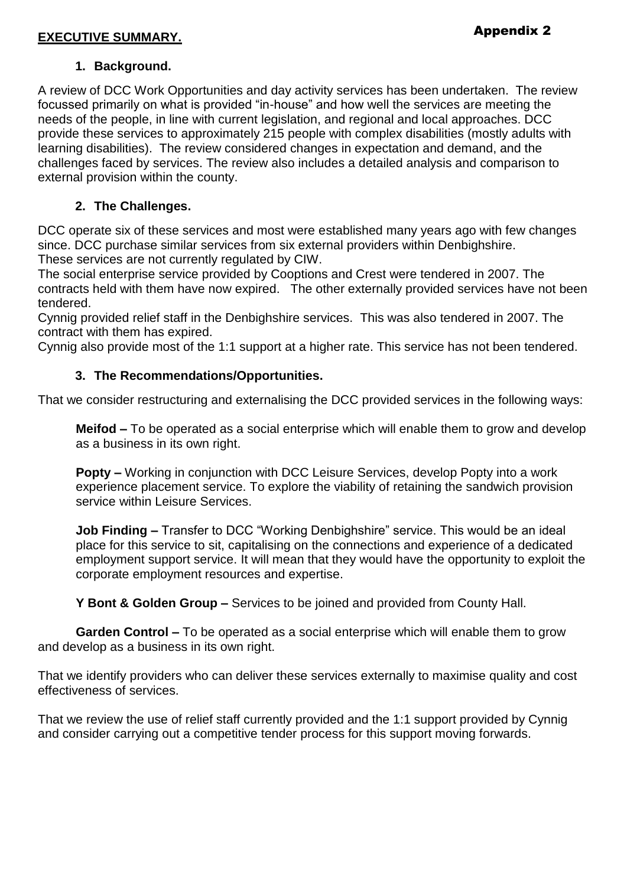#### **EXECUTIVE SUMMARY.**

#### **1. Background.**

A review of DCC Work Opportunities and day activity services has been undertaken. The review focussed primarily on what is provided "in-house" and how well the services are meeting the needs of the people, in line with current legislation, and regional and local approaches. DCC provide these services to approximately 215 people with complex disabilities (mostly adults with learning disabilities). The review considered changes in expectation and demand, and the challenges faced by services. The review also includes a detailed analysis and comparison to external provision within the county.

#### **2. The Challenges.**

DCC operate six of these services and most were established many years ago with few changes since. DCC purchase similar services from six external providers within Denbighshire. These services are not currently regulated by CIW.

The social enterprise service provided by Cooptions and Crest were tendered in 2007. The contracts held with them have now expired. The other externally provided services have not been tendered.

Cynnig provided relief staff in the Denbighshire services. This was also tendered in 2007. The contract with them has expired.

Cynnig also provide most of the 1:1 support at a higher rate. This service has not been tendered.

#### **3. The Recommendations/Opportunities.**

That we consider restructuring and externalising the DCC provided services in the following ways:

**Meifod –** To be operated as a social enterprise which will enable them to grow and develop as a business in its own right.

**Popty –** Working in conjunction with DCC Leisure Services, develop Popty into a work experience placement service. To explore the viability of retaining the sandwich provision service within Leisure Services.

**Job Finding –** Transfer to DCC "Working Denbighshire" service. This would be an ideal place for this service to sit, capitalising on the connections and experience of a dedicated employment support service. It will mean that they would have the opportunity to exploit the corporate employment resources and expertise.

**Y Bont & Golden Group –** Services to be joined and provided from County Hall.

**Garden Control –** To be operated as a social enterprise which will enable them to grow and develop as a business in its own right.

That we identify providers who can deliver these services externally to maximise quality and cost effectiveness of services.

That we review the use of relief staff currently provided and the 1:1 support provided by Cynnig and consider carrying out a competitive tender process for this support moving forwards.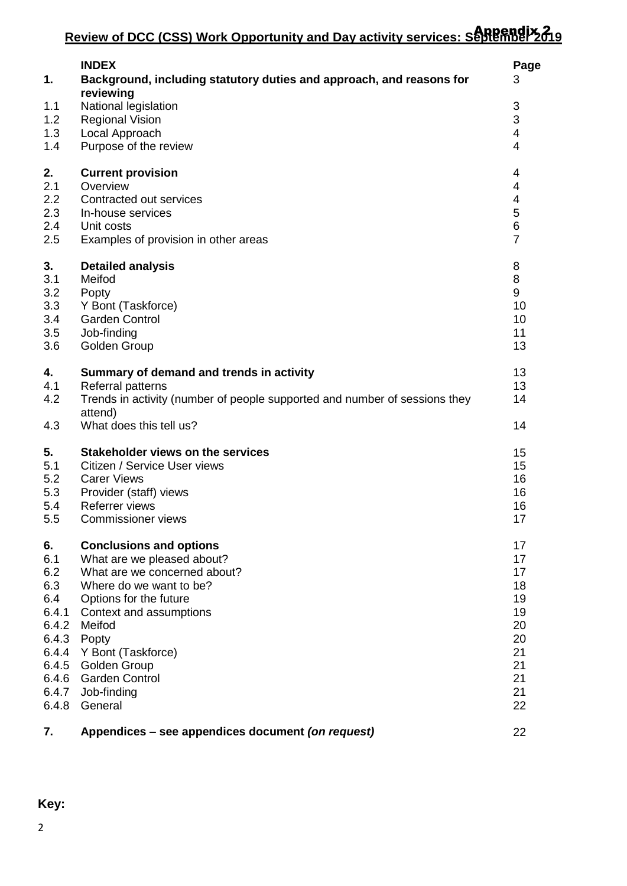| 1.                       | <b>INDEX</b><br>Background, including statutory duties and approach, and reasons for                                                                                              | Page<br>3                                                          |
|--------------------------|-----------------------------------------------------------------------------------------------------------------------------------------------------------------------------------|--------------------------------------------------------------------|
| 1.1<br>1.2<br>1.3<br>1.4 | reviewing<br>National legislation<br><b>Regional Vision</b><br>Local Approach<br>Purpose of the review                                                                            | $\ensuremath{\mathsf{3}}$<br>3<br>$\overline{4}$<br>$\overline{4}$ |
| 2.                       | <b>Current provision</b>                                                                                                                                                          | 4                                                                  |
| 2.1                      | Overview                                                                                                                                                                          | 4                                                                  |
| 2.2                      | Contracted out services                                                                                                                                                           | 4                                                                  |
| 2.3                      | In-house services                                                                                                                                                                 | 5                                                                  |
| 2.4                      | Unit costs                                                                                                                                                                        | $\,6\,$                                                            |
| 2.5                      | Examples of provision in other areas                                                                                                                                              | $\overline{7}$                                                     |
| 3.                       | <b>Detailed analysis</b>                                                                                                                                                          | 8                                                                  |
| 3.1                      | Meifod                                                                                                                                                                            | 8                                                                  |
| 3.2                      | Popty                                                                                                                                                                             | 9                                                                  |
| 3.3                      | Y Bont (Taskforce)                                                                                                                                                                | 10                                                                 |
| 3.4                      | <b>Garden Control</b>                                                                                                                                                             | 10                                                                 |
| 3.5                      | Job-finding                                                                                                                                                                       | 11                                                                 |
| 3.6                      | Golden Group                                                                                                                                                                      | 13                                                                 |
| 4.<br>4.1<br>4.2<br>4.3  | Summary of demand and trends in activity<br>Referral patterns<br>Trends in activity (number of people supported and number of sessions they<br>attend)<br>What does this tell us? | 13<br>13<br>14<br>14                                               |
| 5.                       | <b>Stakeholder views on the services</b>                                                                                                                                          | 15                                                                 |
| 5.1                      | Citizen / Service User views                                                                                                                                                      | 15                                                                 |
| 5.2                      | <b>Carer Views</b>                                                                                                                                                                | 16                                                                 |
| 5.3                      | Provider (staff) views                                                                                                                                                            | 16                                                                 |
| 5.4                      | Referrer views                                                                                                                                                                    | 16                                                                 |
| 5.5                      | <b>Commissioner views</b>                                                                                                                                                         | 17                                                                 |
| 6.                       | <b>Conclusions and options</b>                                                                                                                                                    | 17                                                                 |
| 6.1                      | What are we pleased about?                                                                                                                                                        | 17                                                                 |
| 6.2                      | What are we concerned about?                                                                                                                                                      | 17                                                                 |
| 6.3                      | Where do we want to be?                                                                                                                                                           | 18                                                                 |
| 6.4                      | Options for the future                                                                                                                                                            | 19                                                                 |
| 6.4.1                    | Context and assumptions                                                                                                                                                           | 19                                                                 |
| 6.4.2                    | Meifod                                                                                                                                                                            | 20                                                                 |
| 6.4.3                    | Popty                                                                                                                                                                             | 20                                                                 |
| 6.4.4                    | Y Bont (Taskforce)                                                                                                                                                                | 21                                                                 |
| 6.4.5                    | <b>Golden Group</b>                                                                                                                                                               | 21                                                                 |
| 6.4.6                    | <b>Garden Control</b>                                                                                                                                                             | 21                                                                 |
| 6.4.7                    | Job-finding                                                                                                                                                                       | 21                                                                 |
| 6.4.8                    | General                                                                                                                                                                           | 22                                                                 |
| 7.                       | Appendices - see appendices document (on request)                                                                                                                                 | 22                                                                 |

**Key:**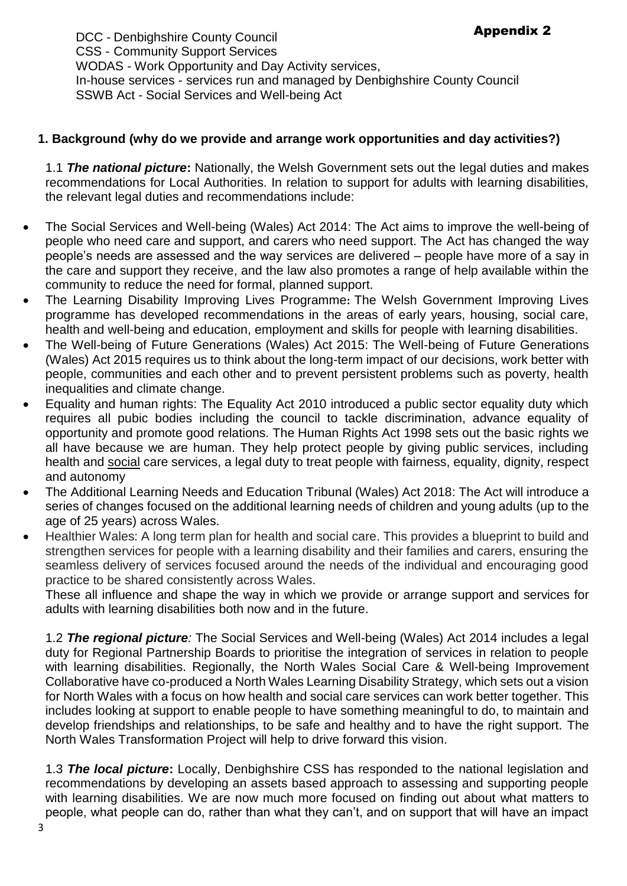DCC - Denbighshire County Council CSS - Community Support Services WODAS - Work Opportunity and Day Activity services, In-house services - services run and managed by Denbighshire County Council SSWB Act - Social Services and Well-being Act

## **1. Background (why do we provide and arrange work opportunities and day activities?)**

1.1 *The national picture***:** Nationally, the Welsh Government sets out the legal duties and makes recommendations for Local Authorities. In relation to support for adults with learning disabilities, the relevant legal duties and recommendations include:

- The Social Services and Well-being (Wales) Act 2014: The Act aims to improve the well-being of people who need care and support, and carers who need support. The Act has changed the way people's needs are assessed and the way services are delivered – people have more of a say in the care and support they receive, and the law also promotes a range of help available within the community to reduce the need for formal, planned support.
- The Learning Disability Improving Lives Programme**:** The Welsh Government Improving Lives programme has developed recommendations in the areas of early years, housing, social care, health and well-being and education, employment and skills for people with learning disabilities.
- The Well-being of Future Generations (Wales) Act 2015: The Well-being of Future Generations (Wales) Act 2015 requires us to think about the long-term impact of our decisions, work better with people, communities and each other and to prevent persistent problems such as poverty, health inequalities and climate change.
- Equality and human rights: The Equality Act 2010 introduced a public sector equality duty which requires all pubic bodies including the council to tackle discrimination, advance equality of opportunity and promote good relations. The Human Rights Act 1998 sets out the basic rights we all have because we are human. They help protect people by giving public services, including health and social care services, a legal duty to treat people with fairness, equality, dignity, respect and autonomy
- The Additional Learning Needs and Education Tribunal (Wales) Act 2018: The Act will introduce a series of changes focused on the additional learning needs of children and young adults (up to the age of 25 years) across Wales.
- Healthier Wales: A long term plan for health and social care. This provides a blueprint to build and strengthen services for people with a learning disability and their families and carers, ensuring the seamless delivery of services focused around the needs of the individual and encouraging good practice to be shared consistently across Wales.

These all influence and shape the way in which we provide or arrange support and services for adults with learning disabilities both now and in the future.

1.2 *The regional picture:* The Social Services and Well-being (Wales) Act 2014 includes a legal duty for Regional Partnership Boards to prioritise the integration of services in relation to people with learning disabilities. Regionally, the North Wales Social Care & Well-being Improvement Collaborative have co-produced a North Wales Learning Disability Strategy, which sets out a vision for North Wales with a focus on how health and social care services can work better together. This includes looking at support to enable people to have something meaningful to do, to maintain and develop friendships and relationships, to be safe and healthy and to have the right support. The North Wales Transformation Project will help to drive forward this vision.

1.3 *The local picture***:** Locally, Denbighshire CSS has responded to the national legislation and recommendations by developing an assets based approach to assessing and supporting people with learning disabilities. We are now much more focused on finding out about what matters to people, what people can do, rather than what they can't, and on support that will have an impact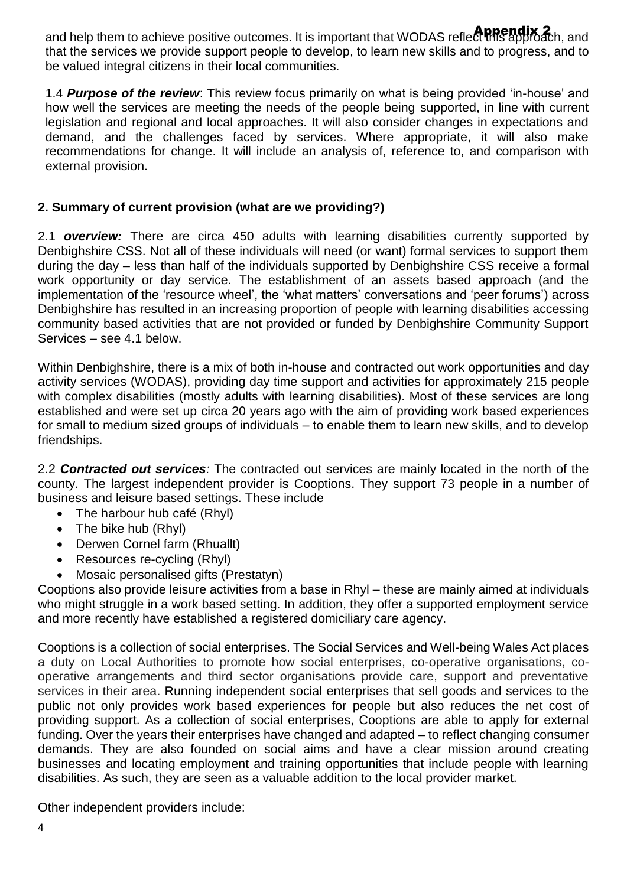and help them to achieve positive outcomes. It is important that WODAS reflect this approach, and that the services we provide support people to develop, to learn new skills and to progress, and to be valued integral citizens in their local communities.

1.4 *Purpose of the review*: This review focus primarily on what is being provided 'in-house' and how well the services are meeting the needs of the people being supported, in line with current legislation and regional and local approaches. It will also consider changes in expectations and demand, and the challenges faced by services. Where appropriate, it will also make recommendations for change. It will include an analysis of, reference to, and comparison with external provision.

## **2. Summary of current provision (what are we providing?)**

2.1 *overview:* There are circa 450 adults with learning disabilities currently supported by Denbighshire CSS. Not all of these individuals will need (or want) formal services to support them during the day – less than half of the individuals supported by Denbighshire CSS receive a formal work opportunity or day service. The establishment of an assets based approach (and the implementation of the 'resource wheel', the 'what matters' conversations and 'peer forums') across Denbighshire has resulted in an increasing proportion of people with learning disabilities accessing community based activities that are not provided or funded by Denbighshire Community Support Services – see 4.1 below.

Within Denbighshire, there is a mix of both in-house and contracted out work opportunities and day activity services (WODAS), providing day time support and activities for approximately 215 people with complex disabilities (mostly adults with learning disabilities). Most of these services are long established and were set up circa 20 years ago with the aim of providing work based experiences for small to medium sized groups of individuals – to enable them to learn new skills, and to develop friendships.

2.2 *Contracted out services:* The contracted out services are mainly located in the north of the county. The largest independent provider is Cooptions. They support 73 people in a number of business and leisure based settings. These include

- The harbour hub café (Rhyl)
- The bike hub (Rhyl)
- Derwen Cornel farm (Rhuallt)
- Resources re-cycling (Rhyl)
- Mosaic personalised gifts (Prestatyn)

Cooptions also provide leisure activities from a base in Rhyl – these are mainly aimed at individuals who might struggle in a work based setting. In addition, they offer a supported employment service and more recently have established a registered domiciliary care agency.

Cooptions is a collection of social enterprises. The Social Services and Well-being Wales Act places a duty on Local Authorities to promote how social enterprises, co-operative organisations, cooperative arrangements and third sector organisations provide care, support and preventative services in their area. Running independent social enterprises that sell goods and services to the public not only provides work based experiences for people but also reduces the net cost of providing support. As a collection of social enterprises, Cooptions are able to apply for external funding. Over the years their enterprises have changed and adapted – to reflect changing consumer demands. They are also founded on social aims and have a clear mission around creating businesses and locating employment and training opportunities that include people with learning disabilities. As such, they are seen as a valuable addition to the local provider market.

Other independent providers include: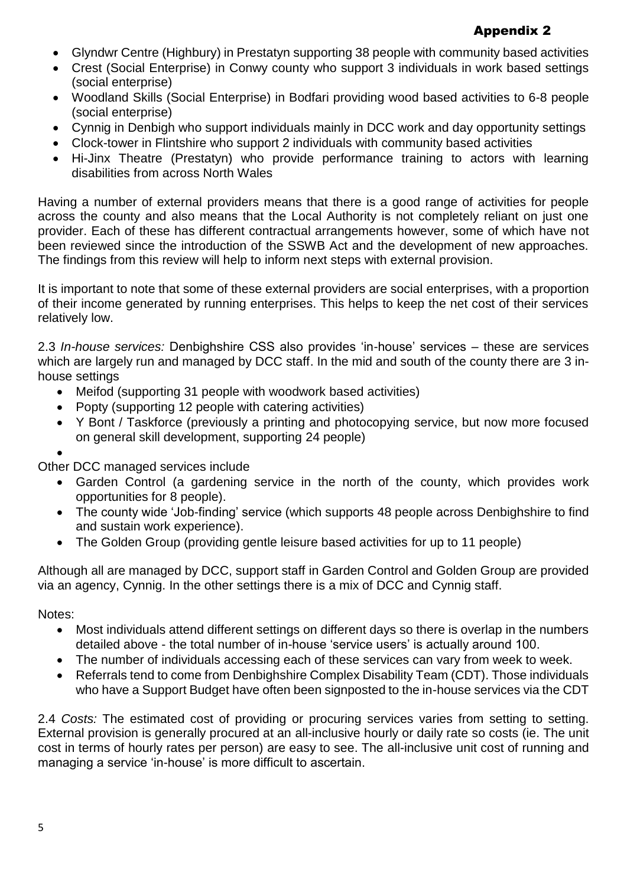# Appendix 2

- Glyndwr Centre (Highbury) in Prestatyn supporting 38 people with community based activities
- Crest (Social Enterprise) in Conwy county who support 3 individuals in work based settings (social enterprise)
- Woodland Skills (Social Enterprise) in Bodfari providing wood based activities to 6-8 people (social enterprise)
- Cynnig in Denbigh who support individuals mainly in DCC work and day opportunity settings
- Clock-tower in Flintshire who support 2 individuals with community based activities
- Hi-Jinx Theatre (Prestatyn) who provide performance training to actors with learning disabilities from across North Wales

Having a number of external providers means that there is a good range of activities for people across the county and also means that the Local Authority is not completely reliant on just one provider. Each of these has different contractual arrangements however, some of which have not been reviewed since the introduction of the SSWB Act and the development of new approaches. The findings from this review will help to inform next steps with external provision.

It is important to note that some of these external providers are social enterprises, with a proportion of their income generated by running enterprises. This helps to keep the net cost of their services relatively low.

2.3 *In-house services:* Denbighshire CSS also provides 'in-house' services – these are services which are largely run and managed by DCC staff. In the mid and south of the county there are 3 inhouse settings

- Meifod (supporting 31 people with woodwork based activities)
- Popty (supporting 12 people with catering activities)
- Y Bont / Taskforce (previously a printing and photocopying service, but now more focused on general skill development, supporting 24 people)
- $\bullet$

Other DCC managed services include

- Garden Control (a gardening service in the north of the county, which provides work opportunities for 8 people).
- The county wide 'Job-finding' service (which supports 48 people across Denbighshire to find and sustain work experience).
- The Golden Group (providing gentle leisure based activities for up to 11 people)

Although all are managed by DCC, support staff in Garden Control and Golden Group are provided via an agency, Cynnig. In the other settings there is a mix of DCC and Cynnig staff.

Notes:

- Most individuals attend different settings on different days so there is overlap in the numbers detailed above - the total number of in-house 'service users' is actually around 100.
- The number of individuals accessing each of these services can vary from week to week.
- Referrals tend to come from Denbighshire Complex Disability Team (CDT). Those individuals who have a Support Budget have often been signposted to the in-house services via the CDT

2.4 *Costs:* The estimated cost of providing or procuring services varies from setting to setting. External provision is generally procured at an all-inclusive hourly or daily rate so costs (ie. The unit cost in terms of hourly rates per person) are easy to see. The all-inclusive unit cost of running and managing a service 'in-house' is more difficult to ascertain.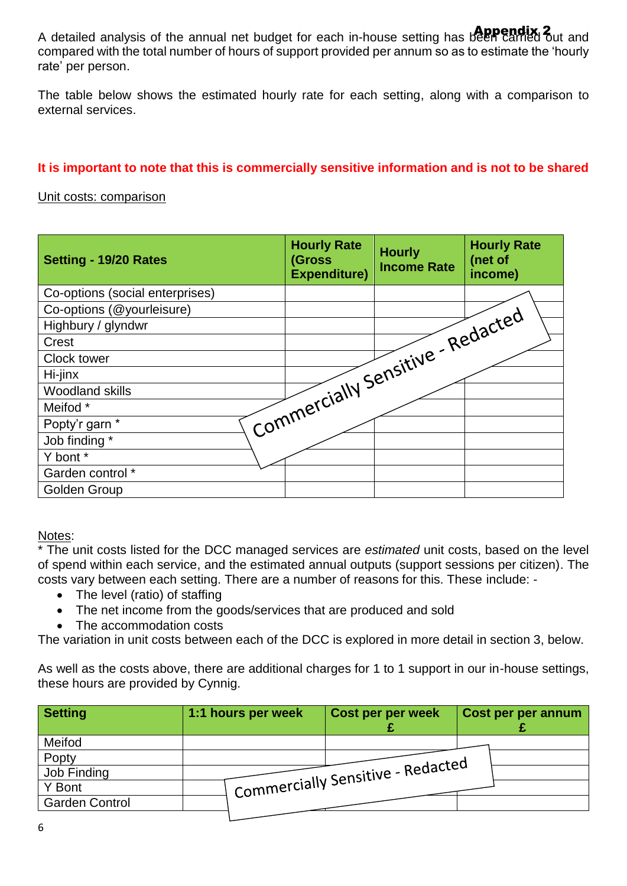A detailed analysis of the annual net budget for each in-house setting has been carried out and compared with the total number of hours of support provided per annum so as to estimate the 'hourly rate' per person.

The table below shows the estimated hourly rate for each setting, along with a comparison to external services.

#### **It is important to note that this is commercially sensitive information and is not to be shared**

#### Unit costs: comparison

| Setting - 19/20 Rates           | <b>Hourly Rate</b><br>(Gross<br><b>Expenditure)</b> | <b>Hourly</b><br><b>Income Rate</b> | <b>Hourly Rate</b><br>(net of<br>income) |
|---------------------------------|-----------------------------------------------------|-------------------------------------|------------------------------------------|
| Co-options (social enterprises) |                                                     |                                     |                                          |
| Co-options (@yourleisure)       |                                                     |                                     |                                          |
| Highbury / glyndwr              | Commercially Sensitive - Redacted                   |                                     |                                          |
| Crest                           |                                                     |                                     |                                          |
| Clock tower                     |                                                     |                                     |                                          |
| Hi-jinx                         |                                                     |                                     |                                          |
| <b>Woodland skills</b>          |                                                     |                                     |                                          |
| Meifod *                        |                                                     |                                     |                                          |
| Popty'r garn *                  |                                                     |                                     |                                          |
| Job finding *                   |                                                     |                                     |                                          |
| Y bont *                        |                                                     |                                     |                                          |
| Garden control *                |                                                     |                                     |                                          |
| Golden Group                    |                                                     |                                     |                                          |

Notes:

\* The unit costs listed for the DCC managed services are *estimated* unit costs, based on the level of spend within each service, and the estimated annual outputs (support sessions per citizen). The costs vary between each setting. There are a number of reasons for this. These include: -

- The level (ratio) of staffing
- The net income from the goods/services that are produced and sold
- The accommodation costs

The variation in unit costs between each of the DCC is explored in more detail in section 3, below.

As well as the costs above, there are additional charges for 1 to 1 support in our in-house settings, these hours are provided by Cynnig.

| <b>Setting</b>        | 1:1 hours per week | Cost per per week                 | Cost per per annum |
|-----------------------|--------------------|-----------------------------------|--------------------|
| Meifod                |                    |                                   |                    |
| Popty                 |                    |                                   |                    |
| Job Finding           |                    | Commercially Sensitive - Redacted |                    |
| Y Bont                |                    |                                   |                    |
| <b>Garden Control</b> |                    |                                   |                    |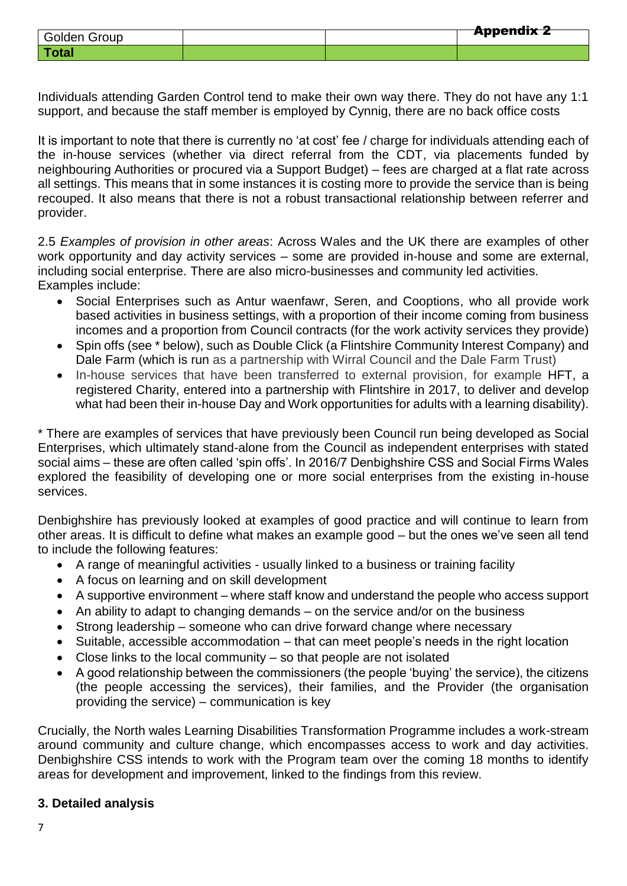| Golden Group |  | <b>Appendix 2</b> |
|--------------|--|-------------------|
| Total        |  |                   |

Individuals attending Garden Control tend to make their own way there. They do not have any 1:1 support, and because the staff member is employed by Cynnig, there are no back office costs

It is important to note that there is currently no 'at cost' fee / charge for individuals attending each of the in-house services (whether via direct referral from the CDT, via placements funded by neighbouring Authorities or procured via a Support Budget) – fees are charged at a flat rate across all settings. This means that in some instances it is costing more to provide the service than is being recouped. It also means that there is not a robust transactional relationship between referrer and provider.

2.5 *Examples of provision in other areas*: Across Wales and the UK there are examples of other work opportunity and day activity services – some are provided in-house and some are external, including social enterprise. There are also micro-businesses and community led activities. Examples include:

- Social Enterprises such as Antur waenfawr, Seren, and Cooptions, who all provide work based activities in business settings, with a proportion of their income coming from business incomes and a proportion from Council contracts (for the work activity services they provide)
- Spin offs (see \* below), such as Double Click (a Flintshire Community Interest Company) and Dale Farm (which is run as a partnership with Wirral Council and the Dale Farm Trust)
- In-house services that have been transferred to external provision, for example HFT, a registered Charity, entered into a partnership with Flintshire in 2017, to deliver and develop what had been their in-house Day and Work opportunities for adults with a learning disability).

\* There are examples of services that have previously been Council run being developed as Social Enterprises, which ultimately stand-alone from the Council as independent enterprises with stated social aims – these are often called 'spin offs'. In 2016/7 Denbighshire CSS and Social Firms Wales explored the feasibility of developing one or more social enterprises from the existing in-house services.

Denbighshire has previously looked at examples of good practice and will continue to learn from other areas. It is difficult to define what makes an example good – but the ones we've seen all tend to include the following features:

- A range of meaningful activities usually linked to a business or training facility
- A focus on learning and on skill development
- A supportive environment where staff know and understand the people who access support
- An ability to adapt to changing demands on the service and/or on the business
- Strong leadership someone who can drive forward change where necessary
- Suitable, accessible accommodation that can meet people's needs in the right location
- Close links to the local community so that people are not isolated
- A good relationship between the commissioners (the people 'buying' the service), the citizens (the people accessing the services), their families, and the Provider (the organisation providing the service) – communication is key

Crucially, the North wales Learning Disabilities Transformation Programme includes a work-stream around community and culture change, which encompasses access to work and day activities. Denbighshire CSS intends to work with the Program team over the coming 18 months to identify areas for development and improvement, linked to the findings from this review.

### **3. Detailed analysis**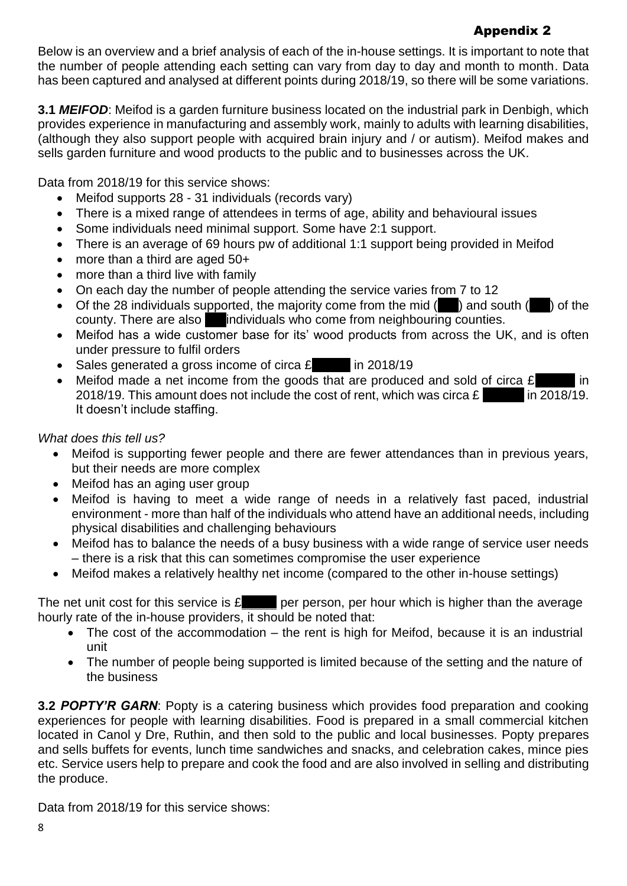# Appendix 2

Below is an overview and a brief analysis of each of the in-house settings. It is important to note that the number of people attending each setting can vary from day to day and month to month. Data has been captured and analysed at different points during 2018/19, so there will be some variations.

**3.1** *MEIFOD*: Meifod is a garden furniture business located on the industrial park in Denbigh, which provides experience in manufacturing and assembly work, mainly to adults with learning disabilities, (although they also support people with acquired brain injury and / or autism). Meifod makes and sells garden furniture and wood products to the public and to businesses across the UK.

Data from 2018/19 for this service shows:

- Meifod supports 28 31 individuals (records vary)
- There is a mixed range of attendees in terms of age, ability and behavioural issues
- Some individuals need minimal support. Some have 2:1 support.
- There is an average of 69 hours pw of additional 1:1 support being provided in Meifod
- more than a third are aged 50+
- more than a third live with family
- On each day the number of people attending the service varies from 7 to 12
- Of the 28 individuals supported, the majority come from the mid  $($ ) and south  $($ ) of the county. There are also individuals who come from neighbouring counties.
- Meifod has a wide customer base for its' wood products from across the UK, and is often under pressure to fulfil orders
- Sales generated a gross income of circa  $\epsilon$  in 2018/19
- Meifod made a net income from the goods that are produced and sold of circa  $\mathbf{\pounds}$  in 2018/19. This amount does not include the cost of rent, which was circa  $\mathbf{\pounds}$  in 2018/19. It doesn't include staffing.

## *What does this tell us?*

- Meifod is supporting fewer people and there are fewer attendances than in previous years, but their needs are more complex
- Meifod has an aging user group
- Meifod is having to meet a wide range of needs in a relatively fast paced, industrial environment - more than half of the individuals who attend have an additional needs, including physical disabilities and challenging behaviours
- Meifod has to balance the needs of a busy business with a wide range of service user needs – there is a risk that this can sometimes compromise the user experience
- Meifod makes a relatively healthy net income (compared to the other in-house settings)

The net unit cost for this service is  $\mathfrak E$  ger person, per hour which is higher than the average hourly rate of the in-house providers, it should be noted that:

- The cost of the accommodation the rent is high for Meifod, because it is an industrial unit
- The number of people being supported is limited because of the setting and the nature of the business

**3.2** *POPTY'R GARN*: Popty is a catering business which provides food preparation and cooking experiences for people with learning disabilities. Food is prepared in a small commercial kitchen located in Canol y Dre, Ruthin, and then sold to the public and local businesses. Popty prepares and sells buffets for events, lunch time sandwiches and snacks, and celebration cakes, mince pies etc. Service users help to prepare and cook the food and are also involved in selling and distributing the produce.

Data from 2018/19 for this service shows: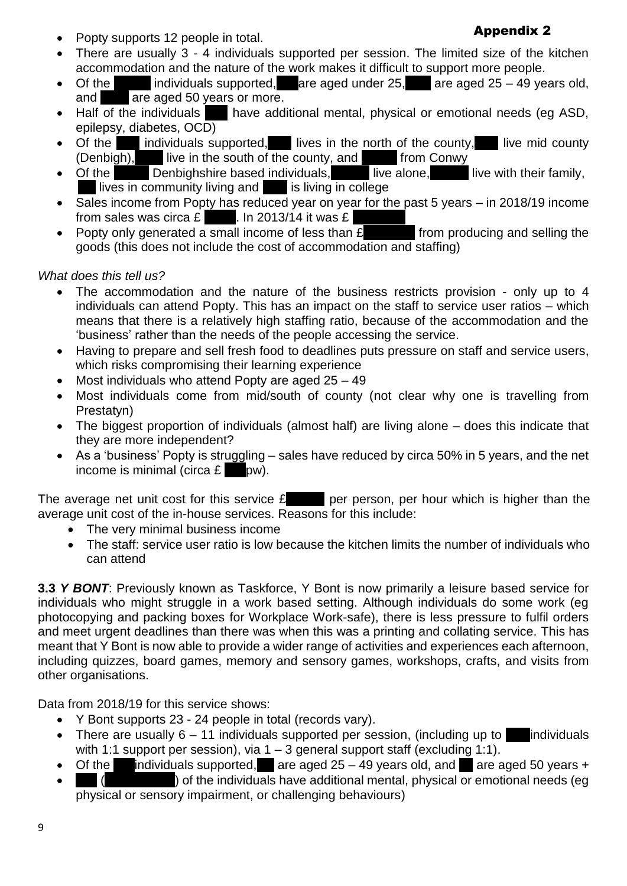Popty supports 12 people in total.

#### Appendix 2

- There are usually 3 4 individuals supported per session. The limited size of the kitchen accommodation and the nature of the work makes it difficult to support more people.
- Of the individuals supported, are aged under  $25$ , are aged  $25 49$  years old, and are aged 50 years or more.
- Half of the individuals have additional mental, physical or emotional needs (eg ASD, epilepsy, diabetes, OCD)
- Of the individuals supported, lives in the north of the county, live mid county (Denbigh), live in the south of the county, and from Conwy  $\frac{1}{2}$  live in the south of the county, and  $\frac{1}{2}$  from Conwy
- Of the Denbighshire based individuals, live alone, live with their family,  $l$  lives in community living and  $l$  is living in college
- Sales income from Popty has reduced year on year for the past 5 years in 2018/19 income
- from sales was circa  $\mathbf{E}$  . In 2013/14 it was  $\mathbf{E}$  . In  $\mathbf{E}$  . In  $\mathbf{E}$  . In  $\mathbf{E}$  . In  $\mathbf{E}$  is than  $\mathbf{E}$  from producing and selling the Popty only generated a small income of less than  $E$ goods (this does not include the cost of accommodation and staffing)

## *What does this tell us?*

- The accommodation and the nature of the business restricts provision only up to 4 individuals can attend Popty. This has an impact on the staff to service user ratios – which means that there is a relatively high staffing ratio, because of the accommodation and the 'business' rather than the needs of the people accessing the service.
- Having to prepare and sell fresh food to deadlines puts pressure on staff and service users, which risks compromising their learning experience
- Most individuals who attend Popty are aged 25 49
- Most individuals come from mid/south of county (not clear why one is travelling from Prestatyn)
- The biggest proportion of individuals (almost half) are living alone does this indicate that they are more independent?
- As a 'business' Popty is struggling sales have reduced by circa 50% in 5 years, and the net income is minimal (circa  $E = pw$ ).

The average net unit cost for this service  $\mathbf{E}$  per person, per hour which is higher than the average unit cost of the in-house services. Reasons for this include:

- The very minimal business income
- The staff: service user ratio is low because the kitchen limits the number of individuals who can attend

**3.3** *Y BONT*: Previously known as Taskforce, Y Bont is now primarily a leisure based service for individuals who might struggle in a work based setting. Although individuals do some work (eg photocopying and packing boxes for Workplace Work-safe), there is less pressure to fulfil orders and meet urgent deadlines than there was when this was a printing and collating service. This has meant that Y Bont is now able to provide a wider range of activities and experiences each afternoon, including quizzes, board games, memory and sensory games, workshops, crafts, and visits from other organisations.

Data from 2018/19 for this service shows:

- Y Bont supports 23 24 people in total (records vary).
- There are usually  $6 11$  individuals supported per session, (including up to individuals with 1:1 support per session), via  $1 - 3$  general support staff (excluding 1:1).
- Of the individuals supported, are aged  $25 49$  years old, and are aged 50 years +
- (\_\_\_\_\_\_\_\_\_\_) of the individuals have additional mental, physical or emotional needs (eg physical or sensory impairment, or challenging behaviours)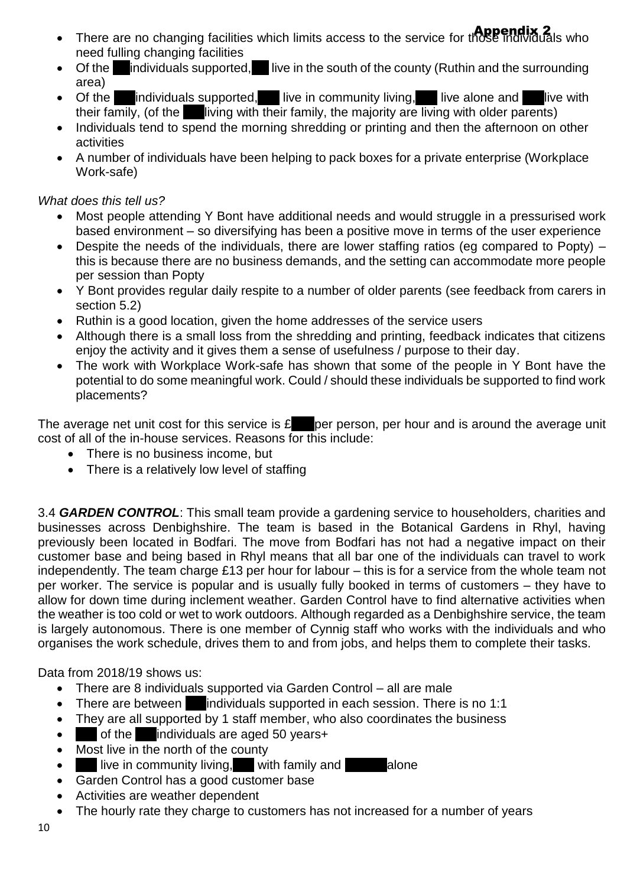- There are no changing facilities which limits access to the service for those individuals who need fulling changing facilities
- Of the individuals supported, live in the south of the county (Ruthin and the surrounding area)
- Of the individuals supported, live in community living, live alone and live with their family, (of the living with their family, the majority are living with older parents)
- Individuals tend to spend the morning shredding or printing and then the afternoon on other activities
- A number of individuals have been helping to pack boxes for a private enterprise (Workplace Work-safe)

### *What does this tell us?*

- Most people attending Y Bont have additional needs and would struggle in a pressurised work based environment – so diversifying has been a positive move in terms of the user experience
- Despite the needs of the individuals, there are lower staffing ratios (eg compared to Popty) this is because there are no business demands, and the setting can accommodate more people per session than Popty
- Y Bont provides regular daily respite to a number of older parents (see feedback from carers in section 5.2)
- Ruthin is a good location, given the home addresses of the service users
- Although there is a small loss from the shredding and printing, feedback indicates that citizens enjoy the activity and it gives them a sense of usefulness / purpose to their day.
- The work with Workplace Work-safe has shown that some of the people in Y Bont have the potential to do some meaningful work. Could / should these individuals be supported to find work placements?

The average net unit cost for this service is  $E$  per person, per hour and is around the average unit cost of all of the in-house services. Reasons for this include:

- There is no business income, but
- There is a relatively low level of staffing

3.4 *GARDEN CONTROL*: This small team provide a gardening service to householders, charities and businesses across Denbighshire. The team is based in the Botanical Gardens in Rhyl, having previously been located in Bodfari. The move from Bodfari has not had a negative impact on their customer base and being based in Rhyl means that all bar one of the individuals can travel to work independently. The team charge £13 per hour for labour – this is for a service from the whole team not per worker. The service is popular and is usually fully booked in terms of customers – they have to allow for down time during inclement weather. Garden Control have to find alternative activities when the weather is too cold or wet to work outdoors. Although regarded as a Denbighshire service, the team is largely autonomous. There is one member of Cynnig staff who works with the individuals and who organises the work schedule, drives them to and from jobs, and helps them to complete their tasks.

Data from 2018/19 shows us:

- There are 8 individuals supported via Garden Control all are male
- There are between individuals supported in each session. There is no 1:1
- They are all supported by 1 staff member, who also coordinates the business
- of the individuals are aged 50 years+
- Most live in the north of the county
- $\bullet$  live in community living, with family and alone
- Garden Control has a good customer base
- Activities are weather dependent
- The hourly rate they charge to customers has not increased for a number of years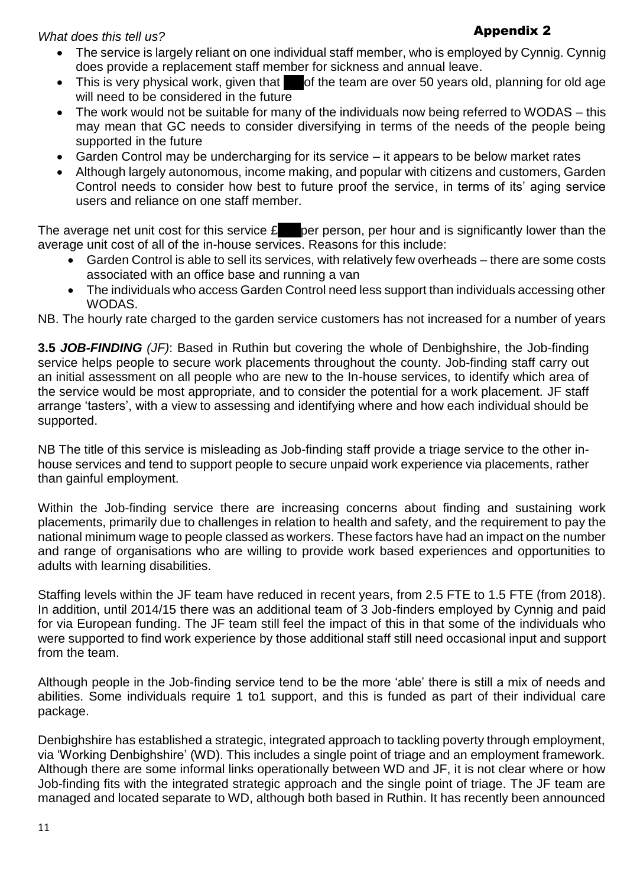*What does this tell us?* 

#### Appendix 2

- The service is largely reliant on one individual staff member, who is employed by Cynnig. Cynnig does provide a replacement staff member for sickness and annual leave.
- $\bullet$  This is very physical work, given that  $\bullet$  of the team are over 50 years old, planning for old age will need to be considered in the future
- The work would not be suitable for many of the individuals now being referred to WODAS this may mean that GC needs to consider diversifying in terms of the needs of the people being supported in the future
- Garden Control may be undercharging for its service it appears to be below market rates
- Although largely autonomous, income making, and popular with citizens and customers, Garden Control needs to consider how best to future proof the service, in terms of its' aging service users and reliance on one staff member.

The average net unit cost for this service  $E$  per person, per hour and is significantly lower than the average unit cost of all of the in-house services. Reasons for this include:

- Garden Control is able to sell its services, with relatively few overheads there are some costs associated with an office base and running a van
- The individuals who access Garden Control need less support than individuals accessing other WODAS.

NB. The hourly rate charged to the garden service customers has not increased for a number of years

**3.5** *JOB-FINDING (JF)*: Based in Ruthin but covering the whole of Denbighshire, the Job-finding service helps people to secure work placements throughout the county. Job-finding staff carry out an initial assessment on all people who are new to the In-house services, to identify which area of the service would be most appropriate, and to consider the potential for a work placement. JF staff arrange 'tasters', with a view to assessing and identifying where and how each individual should be supported.

NB The title of this service is misleading as Job-finding staff provide a triage service to the other inhouse services and tend to support people to secure unpaid work experience via placements, rather than gainful employment.

Within the Job-finding service there are increasing concerns about finding and sustaining work placements, primarily due to challenges in relation to health and safety, and the requirement to pay the national minimum wage to people classed as workers. These factors have had an impact on the number and range of organisations who are willing to provide work based experiences and opportunities to adults with learning disabilities.

Staffing levels within the JF team have reduced in recent years, from 2.5 FTE to 1.5 FTE (from 2018). In addition, until 2014/15 there was an additional team of 3 Job-finders employed by Cynnig and paid for via European funding. The JF team still feel the impact of this in that some of the individuals who were supported to find work experience by those additional staff still need occasional input and support from the team.

Although people in the Job-finding service tend to be the more 'able' there is still a mix of needs and abilities. Some individuals require 1 to1 support, and this is funded as part of their individual care package.

Denbighshire has established a strategic, integrated approach to tackling poverty through employment, via 'Working Denbighshire' (WD). This includes a single point of triage and an employment framework. Although there are some informal links operationally between WD and JF, it is not clear where or how Job-finding fits with the integrated strategic approach and the single point of triage. The JF team are managed and located separate to WD, although both based in Ruthin. It has recently been announced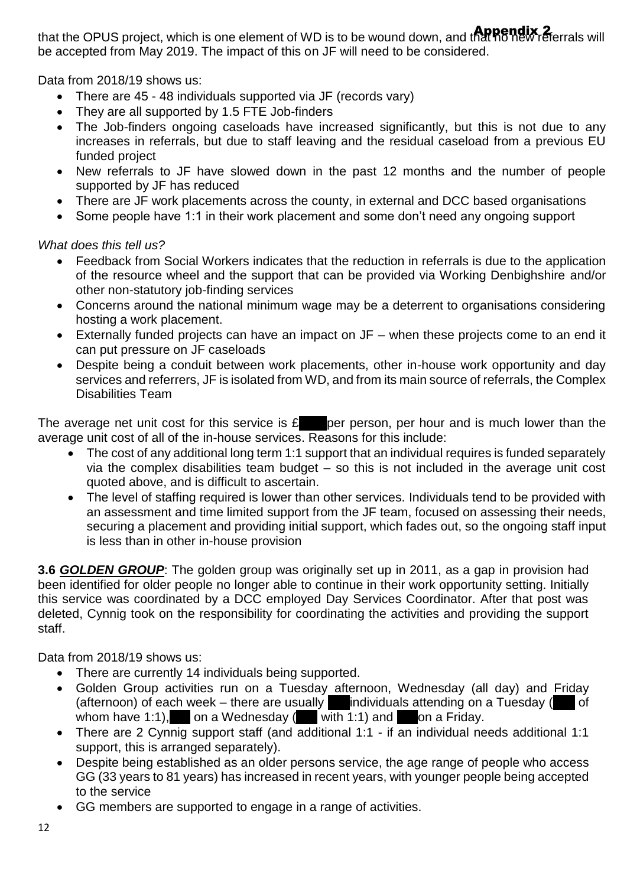that the OPUS project, which is one element of WD is to be wound down, and that **no new referrals** will be accepted from May 2019. The impact of this on JF will need to be considered.

Data from 2018/19 shows us:

- There are 45 48 individuals supported via JF (records vary)
- They are all supported by 1.5 FTE Job-finders
- The Job-finders ongoing caseloads have increased significantly, but this is not due to any increases in referrals, but due to staff leaving and the residual caseload from a previous EU funded project
- New referrals to JF have slowed down in the past 12 months and the number of people supported by JF has reduced
- There are JF work placements across the county, in external and DCC based organisations
- Some people have 1:1 in their work placement and some don't need any ongoing support

*What does this tell us?* 

- Feedback from Social Workers indicates that the reduction in referrals is due to the application of the resource wheel and the support that can be provided via Working Denbighshire and/or other non-statutory job-finding services
- Concerns around the national minimum wage may be a deterrent to organisations considering hosting a work placement.
- Externally funded projects can have an impact on JF when these projects come to an end it can put pressure on JF caseloads
- Despite being a conduit between work placements, other in-house work opportunity and day services and referrers, JF is isolated from WD, and from its main source of referrals, the Complex Disabilities Team

The average net unit cost for this service is  $f$  per person, per hour and is much lower than the average unit cost of all of the in-house services. Reasons for this include:

- The cost of any additional long term 1:1 support that an individual requires is funded separately via the complex disabilities team budget – so this is not included in the average unit cost quoted above, and is difficult to ascertain.
- The level of staffing required is lower than other services. Individuals tend to be provided with an assessment and time limited support from the JF team, focused on assessing their needs, securing a placement and providing initial support, which fades out, so the ongoing staff input is less than in other in-house provision

**3.6** *GOLDEN GROUP*: The golden group was originally set up in 2011, as a gap in provision had been identified for older people no longer able to continue in their work opportunity setting. Initially this service was coordinated by a DCC employed Day Services Coordinator. After that post was deleted, Cynnig took on the responsibility for coordinating the activities and providing the support staff.

Data from 2018/19 shows us:

- There are currently 14 individuals being supported.
- Golden Group activities run on a Tuesday afternoon, Wednesday (all day) and Friday (afternoon) of each week – there are usually  $\Box$ individuals attending on a Tuesday ( whom have 1:1), on a Wednesday  $($  with 1:1) and on a Friday.
- There are 2 Cynnig support staff (and additional 1:1 if an individual needs additional 1:1 support, this is arranged separately).
- Despite being established as an older persons service, the age range of people who access GG (33 years to 81 years) has increased in recent years, with younger people being accepted to the service
- GG members are supported to engage in a range of activities.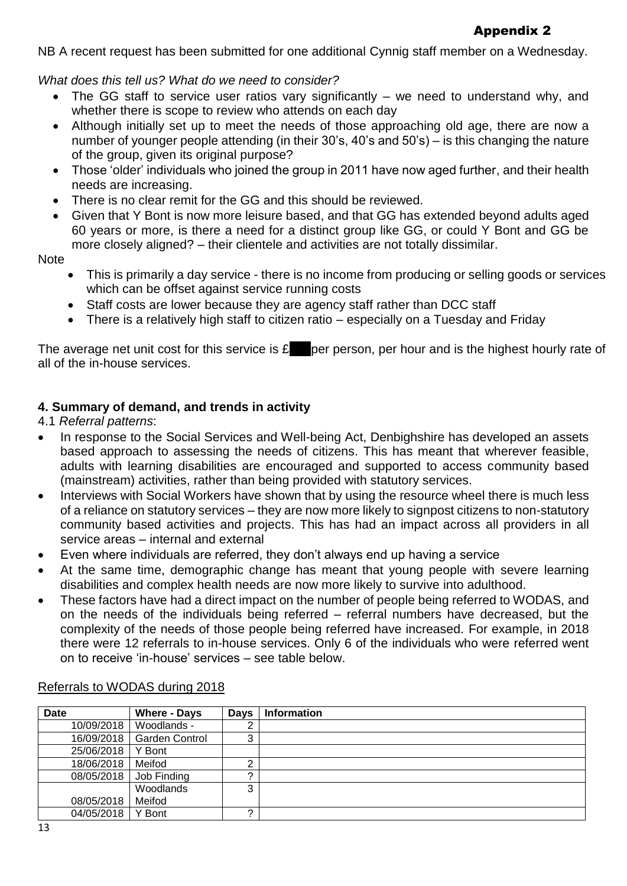NB A recent request has been submitted for one additional Cynnig staff member on a Wednesday.

*What does this tell us? What do we need to consider?* 

- The GG staff to service user ratios vary significantly we need to understand why, and whether there is scope to review who attends on each day
- Although initially set up to meet the needs of those approaching old age, there are now a number of younger people attending (in their 30's, 40's and 50's) – is this changing the nature of the group, given its original purpose?
- Those 'older' individuals who joined the group in 2011 have now aged further, and their health needs are increasing.
- There is no clear remit for the GG and this should be reviewed.
- Given that Y Bont is now more leisure based, and that GG has extended beyond adults aged 60 years or more, is there a need for a distinct group like GG, or could Y Bont and GG be more closely aligned? – their clientele and activities are not totally dissimilar.

**Note** 

- This is primarily a day service there is no income from producing or selling goods or services which can be offset against service running costs
- Staff costs are lower because they are agency staff rather than DCC staff
- There is a relatively high staff to citizen ratio especially on a Tuesday and Friday

The average net unit cost for this service is  $\mathbf{\pounds}$  per person, per hour and is the highest hourly rate of all of the in-house services.

## **4. Summary of demand, and trends in activity**

4.1 *Referral patterns*:

- In response to the Social Services and Well-being Act, Denbighshire has developed an assets based approach to assessing the needs of citizens. This has meant that wherever feasible, adults with learning disabilities are encouraged and supported to access community based (mainstream) activities, rather than being provided with statutory services.
- Interviews with Social Workers have shown that by using the resource wheel there is much less of a reliance on statutory services – they are now more likely to signpost citizens to non-statutory community based activities and projects. This has had an impact across all providers in all service areas – internal and external
- Even where individuals are referred, they don't always end up having a service
- At the same time, demographic change has meant that young people with severe learning disabilities and complex health needs are now more likely to survive into adulthood.
- These factors have had a direct impact on the number of people being referred to WODAS, and on the needs of the individuals being referred – referral numbers have decreased, but the complexity of the needs of those people being referred have increased. For example, in 2018 there were 12 referrals to in-house services. Only 6 of the individuals who were referred went on to receive 'in-house' services – see table below.

| <b>Date</b> | <b>Where - Days</b>   | <b>Days</b> | <b>Information</b> |
|-------------|-----------------------|-------------|--------------------|
| 10/09/2018  | Woodlands -           | ົ           |                    |
| 16/09/2018  | <b>Garden Control</b> | ົ<br>ັ      |                    |
| 25/06/2018  | Y Bont                |             |                    |
| 18/06/2018  | Meifod                | ⌒           |                    |
| 08/05/2018  | Job Finding           | ⌒           |                    |
|             | Woodlands             | ◠<br>J      |                    |
| 08/05/2018  | Meifod                |             |                    |
| 04/05/2018  | Y Bont                | ⌒           |                    |

### Referrals to WODAS during 2018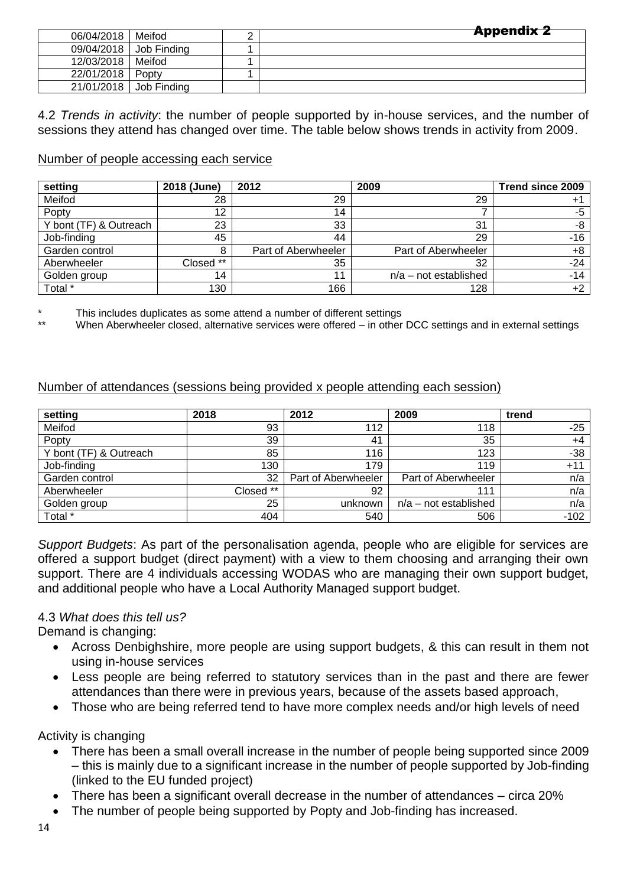|            |             | <b>Appendix 2</b> |
|------------|-------------|-------------------|
| 06/04/2018 | Meifod      |                   |
| 09/04/2018 | Job Finding |                   |
| 12/03/2018 | Meifod      |                   |
| 22/01/2018 | Popty       |                   |
| 21/01/2018 | Job Finding |                   |

4.2 *Trends in activity*: the number of people supported by in-house services, and the number of sessions they attend has changed over time. The table below shows trends in activity from 2009.

#### Number of people accessing each service

| setting                | 2018 (June) | 2012                | 2009                    | Trend since 2009 |
|------------------------|-------------|---------------------|-------------------------|------------------|
| Meifod                 | 28          | 29                  | 29                      | $+^{\circ}$      |
| Popty                  | 12          | 14                  |                         | -5               |
| Y bont (TF) & Outreach | 23          | 33                  | 31                      | -8               |
| Job-finding            | 45          | 44                  | 29                      | $-16$            |
| Garden control         | 8           | Part of Aberwheeler | Part of Aberwheeler     | $+8$             |
| Aberwheeler            | Closed **   | 35                  | 32                      | $-24$            |
| Golden group           | 14          | 44                  | $n/a$ – not established | $-14$            |
| Total *                | 130         | 166                 | 128                     | $+2$             |

This includes duplicates as some attend a number of different settings

When Aberwheeler closed, alternative services were offered – in other DCC settings and in external settings

#### Number of attendances (sessions being provided x people attending each session)

| setting                | 2018      | 2012                | 2009                    | trend  |
|------------------------|-----------|---------------------|-------------------------|--------|
| Meifod                 | 93        | 112                 | 118                     | $-25$  |
| Popty                  | 39        | 41                  | 35                      | $+4$   |
| Y bont (TF) & Outreach | 85        | 116                 | 123                     | -38    |
| Job-finding            | 130       | 179                 | 119                     | $+11$  |
| Garden control         | 32        | Part of Aberwheeler | Part of Aberwheeler     | n/a    |
| Aberwheeler            | Closed ** | 92                  | 111                     | n/a    |
| Golden group           | 25        | unknown             | $n/a$ – not established | n/a    |
| Total *                | 404       | 540                 | 506                     | $-102$ |

*Support Budgets*: As part of the personalisation agenda, people who are eligible for services are offered a support budget (direct payment) with a view to them choosing and arranging their own support. There are 4 individuals accessing WODAS who are managing their own support budget, and additional people who have a Local Authority Managed support budget.

#### 4.3 *What does this tell us?*

Demand is changing:

- Across Denbighshire, more people are using support budgets, & this can result in them not using in-house services
- Less people are being referred to statutory services than in the past and there are fewer attendances than there were in previous years, because of the assets based approach,
- Those who are being referred tend to have more complex needs and/or high levels of need

Activity is changing

- There has been a small overall increase in the number of people being supported since 2009 – this is mainly due to a significant increase in the number of people supported by Job-finding (linked to the EU funded project)
- There has been a significant overall decrease in the number of attendances circa 20%
- The number of people being supported by Popty and Job-finding has increased.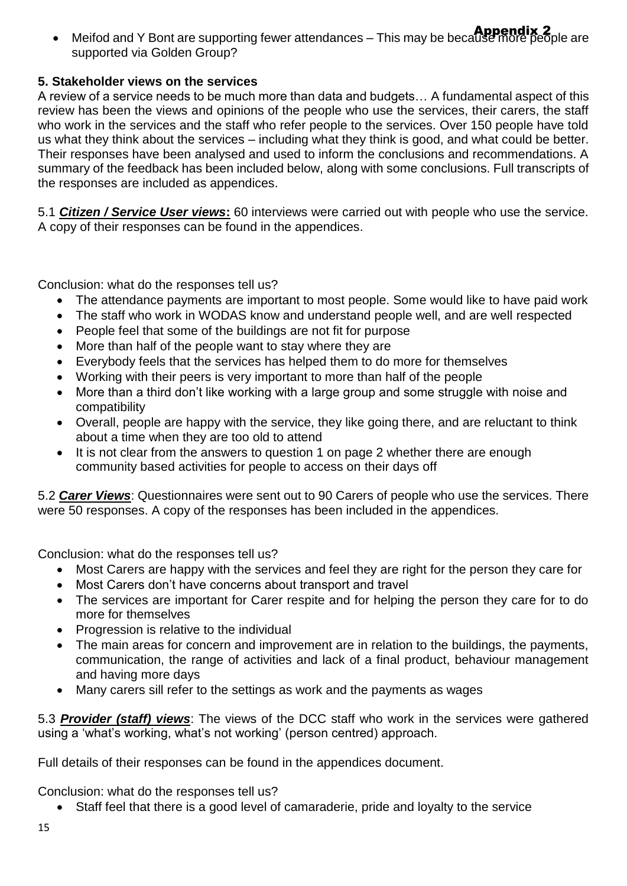• Meifod and Y Bont are supporting fewer attendances – This may be because more people are supported via Golden Group?

## **5. Stakeholder views on the services**

A review of a service needs to be much more than data and budgets… A fundamental aspect of this review has been the views and opinions of the people who use the services, their carers, the staff who work in the services and the staff who refer people to the services. Over 150 people have told us what they think about the services – including what they think is good, and what could be better. Their responses have been analysed and used to inform the conclusions and recommendations. A summary of the feedback has been included below, along with some conclusions. Full transcripts of the responses are included as appendices.

5.1 *Citizen / Service User views***:** 60 interviews were carried out with people who use the service. A copy of their responses can be found in the appendices.

Conclusion: what do the responses tell us?

- The attendance payments are important to most people. Some would like to have paid work
- The staff who work in WODAS know and understand people well, and are well respected
- People feel that some of the buildings are not fit for purpose
- More than half of the people want to stay where they are
- Everybody feels that the services has helped them to do more for themselves
- Working with their peers is very important to more than half of the people
- More than a third don't like working with a large group and some struggle with noise and compatibility
- Overall, people are happy with the service, they like going there, and are reluctant to think about a time when they are too old to attend
- It is not clear from the answers to question 1 on page 2 whether there are enough community based activities for people to access on their days off

5.2 *Carer Views*: Questionnaires were sent out to 90 Carers of people who use the services. There were 50 responses. A copy of the responses has been included in the appendices.

Conclusion: what do the responses tell us?

- Most Carers are happy with the services and feel they are right for the person they care for
- Most Carers don't have concerns about transport and travel
- The services are important for Carer respite and for helping the person they care for to do more for themselves
- Progression is relative to the individual
- The main areas for concern and improvement are in relation to the buildings, the payments, communication, the range of activities and lack of a final product, behaviour management and having more days
- Many carers sill refer to the settings as work and the payments as wages

5.3 *Provider (staff) views*: The views of the DCC staff who work in the services were gathered using a 'what's working, what's not working' (person centred) approach.

Full details of their responses can be found in the appendices document.

Conclusion: what do the responses tell us?

Staff feel that there is a good level of camaraderie, pride and loyalty to the service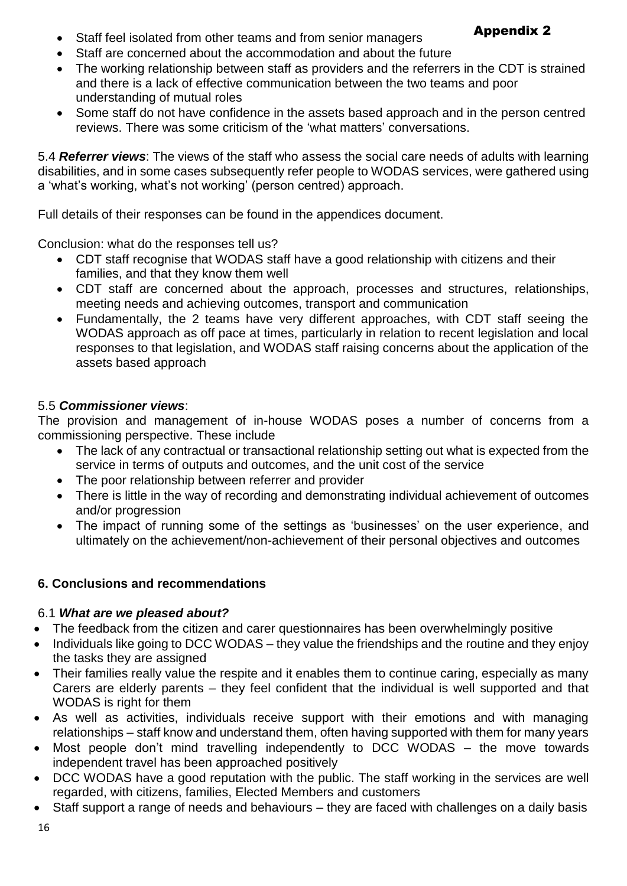# Appendix 2

- Staff feel isolated from other teams and from senior managers
- Staff are concerned about the accommodation and about the future
- The working relationship between staff as providers and the referrers in the CDT is strained and there is a lack of effective communication between the two teams and poor understanding of mutual roles
- Some staff do not have confidence in the assets based approach and in the person centred reviews. There was some criticism of the 'what matters' conversations.

5.4 *Referrer views*: The views of the staff who assess the social care needs of adults with learning disabilities, and in some cases subsequently refer people to WODAS services, were gathered using a 'what's working, what's not working' (person centred) approach.

Full details of their responses can be found in the appendices document.

Conclusion: what do the responses tell us?

- CDT staff recognise that WODAS staff have a good relationship with citizens and their families, and that they know them well
- CDT staff are concerned about the approach, processes and structures, relationships, meeting needs and achieving outcomes, transport and communication
- Fundamentally, the 2 teams have very different approaches, with CDT staff seeing the WODAS approach as off pace at times, particularly in relation to recent legislation and local responses to that legislation, and WODAS staff raising concerns about the application of the assets based approach

### 5.5 *Commissioner views*:

The provision and management of in-house WODAS poses a number of concerns from a commissioning perspective. These include

- The lack of any contractual or transactional relationship setting out what is expected from the service in terms of outputs and outcomes, and the unit cost of the service
- The poor relationship between referrer and provider
- There is little in the way of recording and demonstrating individual achievement of outcomes and/or progression
- The impact of running some of the settings as 'businesses' on the user experience, and ultimately on the achievement/non-achievement of their personal objectives and outcomes

### **6. Conclusions and recommendations**

### 6.1 *What are we pleased about?*

- The feedback from the citizen and carer questionnaires has been overwhelmingly positive
- Individuals like going to DCC WODAS they value the friendships and the routine and they enjoy the tasks they are assigned
- Their families really value the respite and it enables them to continue caring, especially as many Carers are elderly parents – they feel confident that the individual is well supported and that WODAS is right for them
- As well as activities, individuals receive support with their emotions and with managing relationships – staff know and understand them, often having supported with them for many years
- Most people don't mind travelling independently to DCC WODAS the move towards independent travel has been approached positively
- DCC WODAS have a good reputation with the public. The staff working in the services are well regarded, with citizens, families, Elected Members and customers
- Staff support a range of needs and behaviours they are faced with challenges on a daily basis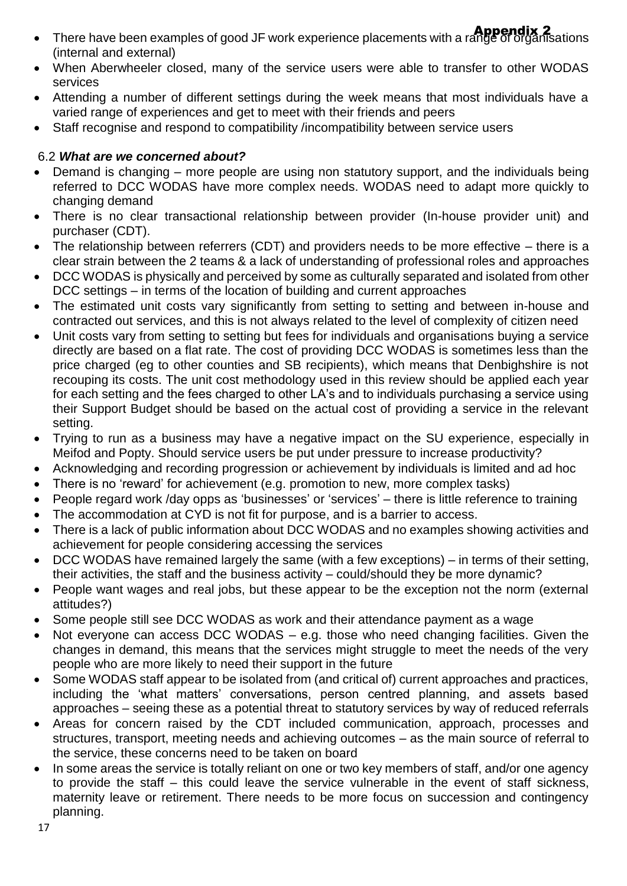- There have been examples of good JF work experience placements with a range of organisations (internal and external)
- When Aberwheeler closed, many of the service users were able to transfer to other WODAS services
- Attending a number of different settings during the week means that most individuals have a varied range of experiences and get to meet with their friends and peers
- Staff recognise and respond to compatibility /incompatibility between service users

## 6.2 *What are we concerned about?*

- Demand is changing more people are using non statutory support, and the individuals being referred to DCC WODAS have more complex needs. WODAS need to adapt more quickly to changing demand
- There is no clear transactional relationship between provider (In-house provider unit) and purchaser (CDT).
- The relationship between referrers (CDT) and providers needs to be more effective there is a clear strain between the 2 teams & a lack of understanding of professional roles and approaches
- DCC WODAS is physically and perceived by some as culturally separated and isolated from other DCC settings – in terms of the location of building and current approaches
- The estimated unit costs vary significantly from setting to setting and between in-house and contracted out services, and this is not always related to the level of complexity of citizen need
- Unit costs vary from setting to setting but fees for individuals and organisations buying a service directly are based on a flat rate. The cost of providing DCC WODAS is sometimes less than the price charged (eg to other counties and SB recipients), which means that Denbighshire is not recouping its costs. The unit cost methodology used in this review should be applied each year for each setting and the fees charged to other LA's and to individuals purchasing a service using their Support Budget should be based on the actual cost of providing a service in the relevant setting.
- Trying to run as a business may have a negative impact on the SU experience, especially in Meifod and Popty. Should service users be put under pressure to increase productivity?
- Acknowledging and recording progression or achievement by individuals is limited and ad hoc
- There is no 'reward' for achievement (e.g. promotion to new, more complex tasks)
- People regard work /day opps as 'businesses' or 'services' there is little reference to training
- The accommodation at CYD is not fit for purpose, and is a barrier to access.
- There is a lack of public information about DCC WODAS and no examples showing activities and achievement for people considering accessing the services
- DCC WODAS have remained largely the same (with a few exceptions) in terms of their setting, their activities, the staff and the business activity – could/should they be more dynamic?
- People want wages and real jobs, but these appear to be the exception not the norm (external attitudes?)
- Some people still see DCC WODAS as work and their attendance payment as a wage
- Not everyone can access DCC WODAS e.g. those who need changing facilities. Given the changes in demand, this means that the services might struggle to meet the needs of the very people who are more likely to need their support in the future
- Some WODAS staff appear to be isolated from (and critical of) current approaches and practices, including the 'what matters' conversations, person centred planning, and assets based approaches – seeing these as a potential threat to statutory services by way of reduced referrals
- Areas for concern raised by the CDT included communication, approach, processes and structures, transport, meeting needs and achieving outcomes – as the main source of referral to the service, these concerns need to be taken on board
- In some areas the service is totally reliant on one or two key members of staff, and/or one agency to provide the staff – this could leave the service vulnerable in the event of staff sickness, maternity leave or retirement. There needs to be more focus on succession and contingency planning.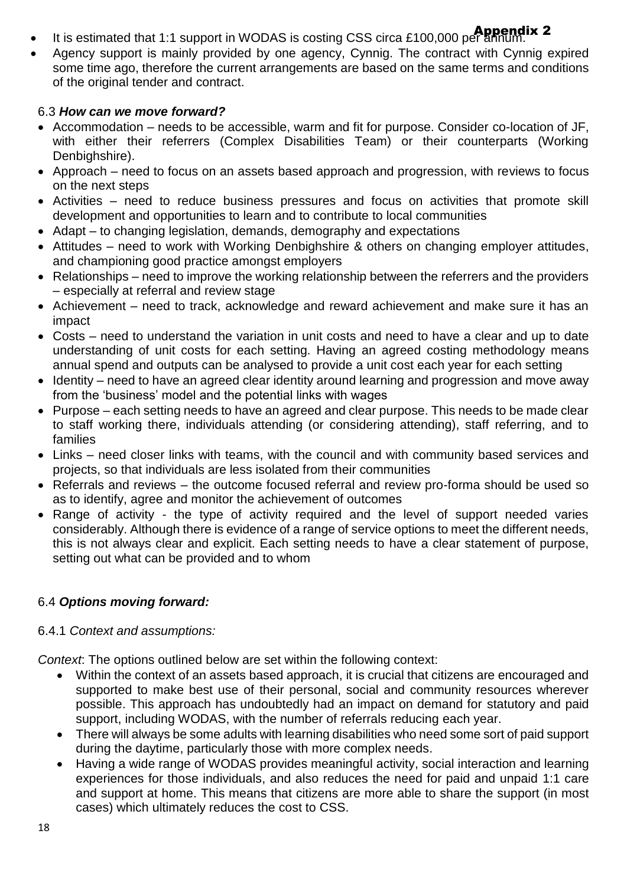- It is estimated that 1:1 support in WODAS is costing CSS circa £100,000 per annum.
- Agency support is mainly provided by one agency, Cynnig. The contract with Cynnig expired some time ago, therefore the current arrangements are based on the same terms and conditions of the original tender and contract.

## 6.3 *How can we move forward?*

- Accommodation needs to be accessible, warm and fit for purpose. Consider co-location of JF, with either their referrers (Complex Disabilities Team) or their counterparts (Working Denbighshire).
- Approach need to focus on an assets based approach and progression, with reviews to focus on the next steps
- Activities need to reduce business pressures and focus on activities that promote skill development and opportunities to learn and to contribute to local communities
- Adapt to changing legislation, demands, demography and expectations
- Attitudes need to work with Working Denbighshire & others on changing employer attitudes, and championing good practice amongst employers
- Relationships need to improve the working relationship between the referrers and the providers – especially at referral and review stage
- Achievement need to track, acknowledge and reward achievement and make sure it has an impact
- Costs need to understand the variation in unit costs and need to have a clear and up to date understanding of unit costs for each setting. Having an agreed costing methodology means annual spend and outputs can be analysed to provide a unit cost each year for each setting
- Identity need to have an agreed clear identity around learning and progression and move away from the 'business' model and the potential links with wages
- Purpose each setting needs to have an agreed and clear purpose. This needs to be made clear to staff working there, individuals attending (or considering attending), staff referring, and to families
- Links need closer links with teams, with the council and with community based services and projects, so that individuals are less isolated from their communities
- Referrals and reviews the outcome focused referral and review pro-forma should be used so as to identify, agree and monitor the achievement of outcomes
- Range of activity the type of activity required and the level of support needed varies considerably. Although there is evidence of a range of service options to meet the different needs, this is not always clear and explicit. Each setting needs to have a clear statement of purpose, setting out what can be provided and to whom

# 6.4 *Options moving forward:*

# 6.4.1 *Context and assumptions:*

*Context*: The options outlined below are set within the following context:

- Within the context of an assets based approach, it is crucial that citizens are encouraged and supported to make best use of their personal, social and community resources wherever possible. This approach has undoubtedly had an impact on demand for statutory and paid support, including WODAS, with the number of referrals reducing each year.
- There will always be some adults with learning disabilities who need some sort of paid support during the daytime, particularly those with more complex needs.
- Having a wide range of WODAS provides meaningful activity, social interaction and learning experiences for those individuals, and also reduces the need for paid and unpaid 1:1 care and support at home. This means that citizens are more able to share the support (in most cases) which ultimately reduces the cost to CSS.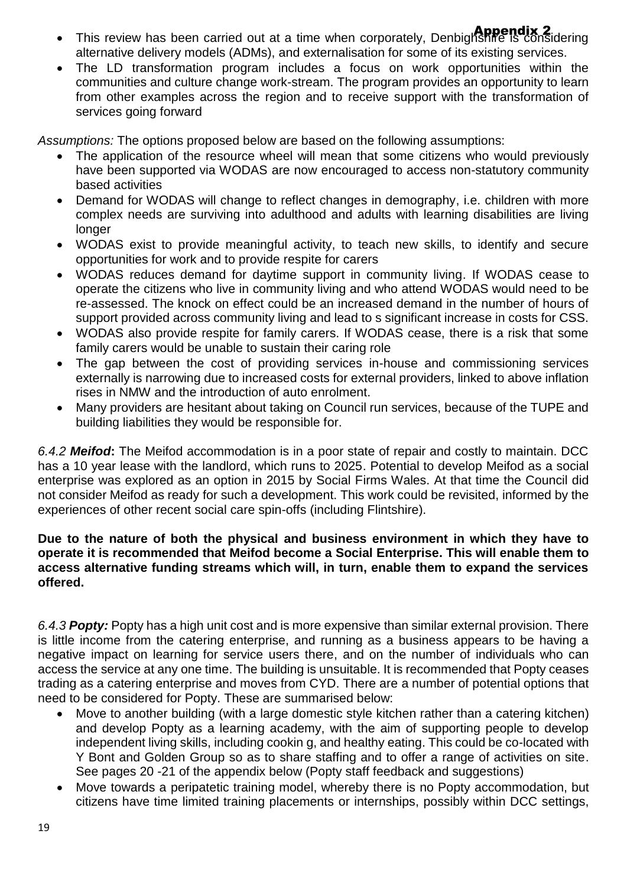- This review has been carried out at a time when corporately, Denbighshire is considering alternative delivery models (ADMs), and externalisation for some of its existing services.
- The LD transformation program includes a focus on work opportunities within the communities and culture change work-stream. The program provides an opportunity to learn from other examples across the region and to receive support with the transformation of services going forward

*Assumptions:* The options proposed below are based on the following assumptions:

- The application of the resource wheel will mean that some citizens who would previously have been supported via WODAS are now encouraged to access non-statutory community based activities
- Demand for WODAS will change to reflect changes in demography, i.e. children with more complex needs are surviving into adulthood and adults with learning disabilities are living longer
- WODAS exist to provide meaningful activity, to teach new skills, to identify and secure opportunities for work and to provide respite for carers
- WODAS reduces demand for daytime support in community living. If WODAS cease to operate the citizens who live in community living and who attend WODAS would need to be re-assessed. The knock on effect could be an increased demand in the number of hours of support provided across community living and lead to s significant increase in costs for CSS.
- WODAS also provide respite for family carers. If WODAS cease, there is a risk that some family carers would be unable to sustain their caring role
- The gap between the cost of providing services in-house and commissioning services externally is narrowing due to increased costs for external providers, linked to above inflation rises in NMW and the introduction of auto enrolment.
- Many providers are hesitant about taking on Council run services, because of the TUPE and building liabilities they would be responsible for.

*6.4.2 Meifod***:** The Meifod accommodation is in a poor state of repair and costly to maintain. DCC has a 10 year lease with the landlord, which runs to 2025. Potential to develop Meifod as a social enterprise was explored as an option in 2015 by Social Firms Wales. At that time the Council did not consider Meifod as ready for such a development. This work could be revisited, informed by the experiences of other recent social care spin-offs (including Flintshire).

#### **Due to the nature of both the physical and business environment in which they have to operate it is recommended that Meifod become a Social Enterprise. This will enable them to access alternative funding streams which will, in turn, enable them to expand the services offered.**

*6.4.3 Popty:* Popty has a high unit cost and is more expensive than similar external provision. There is little income from the catering enterprise, and running as a business appears to be having a negative impact on learning for service users there, and on the number of individuals who can access the service at any one time. The building is unsuitable. It is recommended that Popty ceases trading as a catering enterprise and moves from CYD. There are a number of potential options that need to be considered for Popty. These are summarised below:

- Move to another building (with a large domestic style kitchen rather than a catering kitchen) and develop Popty as a learning academy, with the aim of supporting people to develop independent living skills, including cookin g, and healthy eating. This could be co-located with Y Bont and Golden Group so as to share staffing and to offer a range of activities on site. See pages 20 -21 of the appendix below (Popty staff feedback and suggestions)
- Move towards a peripatetic training model, whereby there is no Popty accommodation, but citizens have time limited training placements or internships, possibly within DCC settings,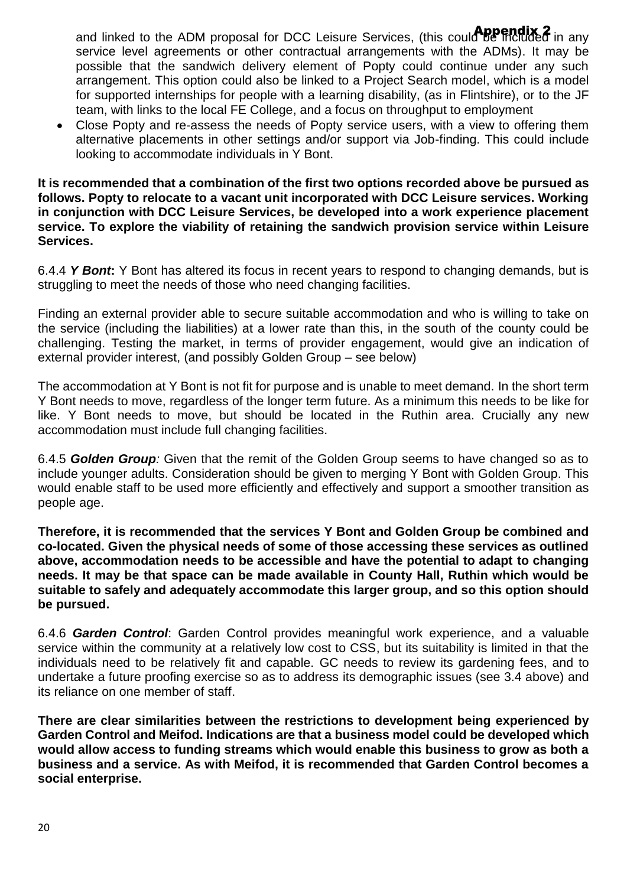and linked to the ADM proposal for DCC Leisure Services, (this coul**d be fricitided** in any service level agreements or other contractual arrangements with the ADMs). It may be possible that the sandwich delivery element of Popty could continue under any such arrangement. This option could also be linked to a Project Search model, which is a model for supported internships for people with a learning disability, (as in Flintshire), or to the JF team, with links to the local FE College, and a focus on throughput to employment

• Close Popty and re-assess the needs of Popty service users, with a view to offering them alternative placements in other settings and/or support via Job-finding. This could include looking to accommodate individuals in Y Bont.

**It is recommended that a combination of the first two options recorded above be pursued as follows. Popty to relocate to a vacant unit incorporated with DCC Leisure services. Working in conjunction with DCC Leisure Services, be developed into a work experience placement service. To explore the viability of retaining the sandwich provision service within Leisure Services.** 

6.4.4 *Y Bont***:** Y Bont has altered its focus in recent years to respond to changing demands, but is struggling to meet the needs of those who need changing facilities.

Finding an external provider able to secure suitable accommodation and who is willing to take on the service (including the liabilities) at a lower rate than this, in the south of the county could be challenging. Testing the market, in terms of provider engagement, would give an indication of external provider interest, (and possibly Golden Group – see below)

The accommodation at Y Bont is not fit for purpose and is unable to meet demand. In the short term Y Bont needs to move, regardless of the longer term future. As a minimum this needs to be like for like. Y Bont needs to move, but should be located in the Ruthin area. Crucially any new accommodation must include full changing facilities.

6.4.5 *Golden Group:* Given that the remit of the Golden Group seems to have changed so as to include younger adults. Consideration should be given to merging Y Bont with Golden Group. This would enable staff to be used more efficiently and effectively and support a smoother transition as people age.

**Therefore, it is recommended that the services Y Bont and Golden Group be combined and co-located. Given the physical needs of some of those accessing these services as outlined above, accommodation needs to be accessible and have the potential to adapt to changing needs. It may be that space can be made available in County Hall, Ruthin which would be suitable to safely and adequately accommodate this larger group, and so this option should be pursued.** 

6.4.6 *Garden Control*: Garden Control provides meaningful work experience, and a valuable service within the community at a relatively low cost to CSS, but its suitability is limited in that the individuals need to be relatively fit and capable. GC needs to review its gardening fees, and to undertake a future proofing exercise so as to address its demographic issues (see 3.4 above) and its reliance on one member of staff.

**There are clear similarities between the restrictions to development being experienced by Garden Control and Meifod. Indications are that a business model could be developed which would allow access to funding streams which would enable this business to grow as both a business and a service. As with Meifod, it is recommended that Garden Control becomes a social enterprise.**